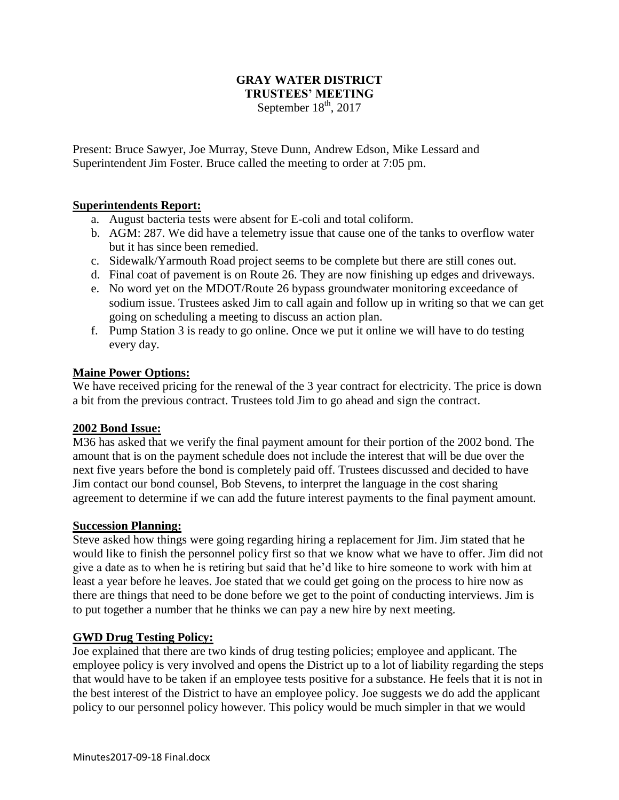### **GRAY WATER DISTRICT TRUSTEES' MEETING** September  $18<sup>th</sup>$ , 2017

Present: Bruce Sawyer, Joe Murray, Steve Dunn, Andrew Edson, Mike Lessard and Superintendent Jim Foster. Bruce called the meeting to order at 7:05 pm.

## **Superintendents Report:**

- a. August bacteria tests were absent for E-coli and total coliform.
- b. AGM: 287. We did have a telemetry issue that cause one of the tanks to overflow water but it has since been remedied.
- c. Sidewalk/Yarmouth Road project seems to be complete but there are still cones out.
- d. Final coat of pavement is on Route 26. They are now finishing up edges and driveways.
- e. No word yet on the MDOT/Route 26 bypass groundwater monitoring exceedance of sodium issue. Trustees asked Jim to call again and follow up in writing so that we can get going on scheduling a meeting to discuss an action plan.
- f. Pump Station 3 is ready to go online. Once we put it online we will have to do testing every day.

## **Maine Power Options:**

We have received pricing for the renewal of the 3 year contract for electricity. The price is down a bit from the previous contract. Trustees told Jim to go ahead and sign the contract.

### **2002 Bond Issue:**

M36 has asked that we verify the final payment amount for their portion of the 2002 bond. The amount that is on the payment schedule does not include the interest that will be due over the next five years before the bond is completely paid off. Trustees discussed and decided to have Jim contact our bond counsel, Bob Stevens, to interpret the language in the cost sharing agreement to determine if we can add the future interest payments to the final payment amount.

### **Succession Planning:**

Steve asked how things were going regarding hiring a replacement for Jim. Jim stated that he would like to finish the personnel policy first so that we know what we have to offer. Jim did not give a date as to when he is retiring but said that he'd like to hire someone to work with him at least a year before he leaves. Joe stated that we could get going on the process to hire now as there are things that need to be done before we get to the point of conducting interviews. Jim is to put together a number that he thinks we can pay a new hire by next meeting.

### **GWD Drug Testing Policy:**

Joe explained that there are two kinds of drug testing policies; employee and applicant. The employee policy is very involved and opens the District up to a lot of liability regarding the steps that would have to be taken if an employee tests positive for a substance. He feels that it is not in the best interest of the District to have an employee policy. Joe suggests we do add the applicant policy to our personnel policy however. This policy would be much simpler in that we would